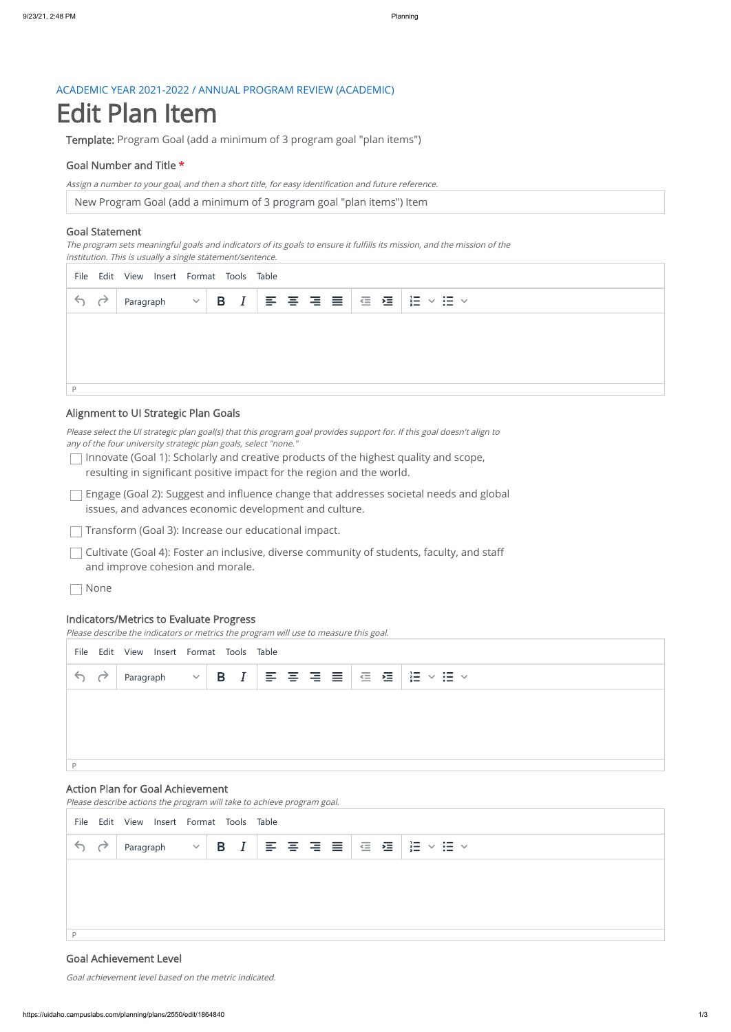## ACADEMIC YEAR 2021-2022 / ANNUAL PROGRAM REVIEW (ACADEMIC)

# Edit Plan Item

Template: Program Goal (add a minimum of 3 program goal "plan items")

## Goal Number and Title \*

New Program Goal (add a minimum of 3 program goal "plan items") Item

Assign <sup>a</sup> number to your goal, and then <sup>a</sup> short title, for easy identification and future reference.

#### Goal Statement

 $\Box$  Innovate (Goal 1): Scholarly and creative products of the highest quality and scope, resulting in significant positive impact for the region and the world.

The program sets meaningful goals and indicators of its goals to ensure it fulfills its mission, and the mission of the institution. This is usually <sup>a</sup> single statement/sentence.

 $\Box$  Engage (Goal 2): Suggest and influence change that addresses societal needs and global issues, and advances economic development and culture.

 $\Box$  Transform (Goal 3): Increase our educational impact.

#### Alignment to UI Strategic Plan Goals

 $\Box$  Cultivate (Goal 4): Foster an inclusive, diverse community of students, faculty, and staff and improve cohesion and morale.

Please select the UI strategic plan goal(s) that this program goal provides support for. If this goal doesn't align to any of the four university strategic plan goals, select "none."

| File Edit View Insert Format Tools Table |  |           |  |                                                                                                                                                                                                                                                                                                                                                                                               |  |  |  |  |  |  |                                        |
|------------------------------------------|--|-----------|--|-----------------------------------------------------------------------------------------------------------------------------------------------------------------------------------------------------------------------------------------------------------------------------------------------------------------------------------------------------------------------------------------------|--|--|--|--|--|--|----------------------------------------|
| 69                                       |  | Paragraph |  | $\begin{array}{c c c c c c c c} \hline \multicolumn{3}{c }{\times}{\hspace{0.35cm}}{\hspace{0.35cm}}{\hspace{0.35cm}}{\hspace{0.35cm}}{\hspace{0.35cm}}{\hspace{0.35cm}}{\hspace{0.35cm}}{\hspace{0.35cm}}{\hspace{0.35cm}}{\hspace{0.35cm}}{\hspace{0.35cm}}{\hspace{0.35cm}}{\hspace{0.35cm}}{\hspace{0.35cm}}{\hspace{0.35cm}}{\hspace{0.35cm}}{\hspace{0.35cm}}{\hspace{0.35cm}}{\hspace$ |  |  |  |  |  |  | $\cdot$ $\times$ $\mathbf{H}$ $\times$ |
|                                          |  |           |  |                                                                                                                                                                                                                                                                                                                                                                                               |  |  |  |  |  |  |                                        |
|                                          |  |           |  |                                                                                                                                                                                                                                                                                                                                                                                               |  |  |  |  |  |  |                                        |
|                                          |  |           |  |                                                                                                                                                                                                                                                                                                                                                                                               |  |  |  |  |  |  |                                        |
|                                          |  |           |  |                                                                                                                                                                                                                                                                                                                                                                                               |  |  |  |  |  |  |                                        |

None

#### Indicators/Metrics to Evaluate Progress

Please describe the indicators or metrics the program will use to measure this goal.

## Action Plan for Goal Achievement

Please describe actions the program will take to achieve program goal.

## Goal Achievement Level

| File Edit View Insert Format Tools Table |  |           |  |  |  |  |  |  |  |  |                                                      |
|------------------------------------------|--|-----------|--|--|--|--|--|--|--|--|------------------------------------------------------|
| 69                                       |  | Paragraph |  |  |  |  |  |  |  |  | $\frac{1}{2}$<br>$\vee$ $\mathrel{\mathop:}=$ $\vee$ |
|                                          |  |           |  |  |  |  |  |  |  |  |                                                      |
|                                          |  |           |  |  |  |  |  |  |  |  |                                                      |
|                                          |  |           |  |  |  |  |  |  |  |  |                                                      |
| D                                        |  |           |  |  |  |  |  |  |  |  |                                                      |

Goal achievement level based on the metric indicated.

| File Edit View Insert Format Tools Table |  |  |  |  |  |  |  |  |  |  |
|------------------------------------------|--|--|--|--|--|--|--|--|--|--|
| 69                                       |  |  |  |  |  |  |  |  |  |  |
|                                          |  |  |  |  |  |  |  |  |  |  |
|                                          |  |  |  |  |  |  |  |  |  |  |
|                                          |  |  |  |  |  |  |  |  |  |  |
|                                          |  |  |  |  |  |  |  |  |  |  |